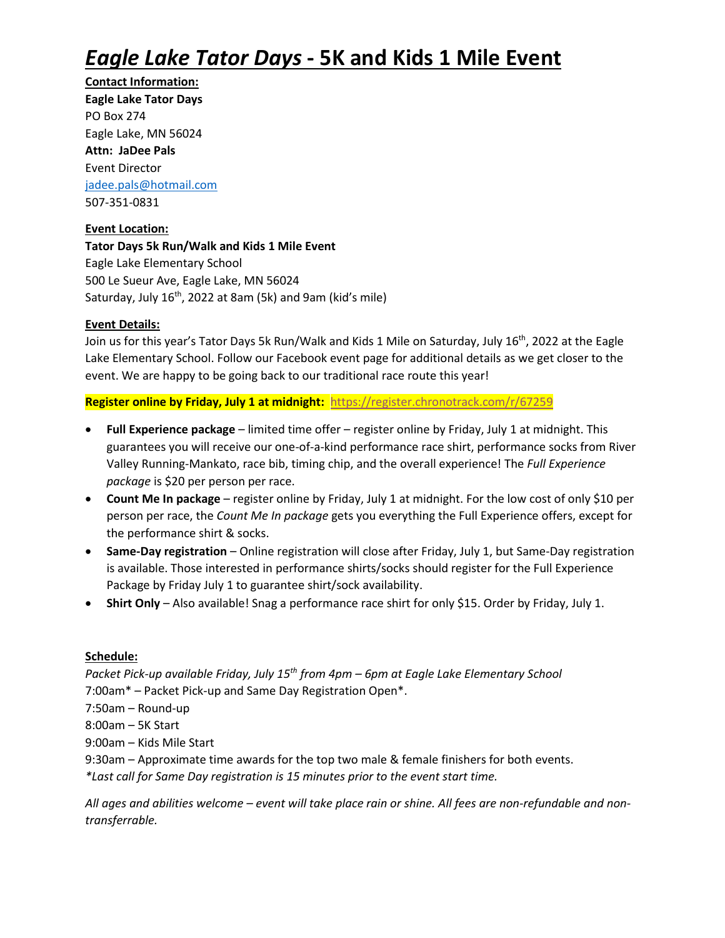## *Eagle Lake Tator Days* **- 5K and Kids 1 Mile Event**

**Contact Information: Eagle Lake Tator Days** PO Box 274 Eagle Lake, MN 56024 **Attn: JaDee Pals** Event Director [jadee.pals@hotmail.com](mailto:jadee.pals@hotmail.com) 507-351-0831

**Event Location: Tator Days 5k Run/Walk and Kids 1 Mile Event** Eagle Lake Elementary School 500 Le Sueur Ave, Eagle Lake, MN 56024 Saturday, July 16<sup>th</sup>, 2022 at 8am (5k) and 9am (kid's mile)

#### **Event Details:**

Join us for this year's Tator Days 5k Run/Walk and Kids 1 Mile on Saturday, July 16<sup>th</sup>, 2022 at the Eagle Lake Elementary School. Follow our Facebook event page for additional details as we get closer to the event. We are happy to be going back to our traditional race route this year!

**Register online by Friday, July 1 at midnight:** <https://register.chronotrack.com/r/67259>

- **Full Experience package** limited time offer register online by Friday, July 1 at midnight. This guarantees you will receive our one-of-a-kind performance race shirt, performance socks from River Valley Running-Mankato, race bib, timing chip, and the overall experience! The *Full Experience package* is \$20 per person per race.
- **Count Me In package** register online by Friday, July 1 at midnight. For the low cost of only \$10 per person per race, the *Count Me In package* gets you everything the Full Experience offers, except for the performance shirt & socks.
- **Same-Day registration** Online registration will close after Friday, July 1, but Same-Day registration is available. Those interested in performance shirts/socks should register for the Full Experience Package by Friday July 1 to guarantee shirt/sock availability.
- **Shirt Only**  Also available! Snag a performance race shirt for only \$15. Order by Friday, July 1.

#### **Schedule:**

*Packet Pick-up available Friday, July 15th from 4pm – 6pm at Eagle Lake Elementary School* 7:00am\* – Packet Pick-up and Same Day Registration Open\*.

- 7:50am Round-up
- 8:00am 5K Start

9:00am – Kids Mile Start

9:30am – Approximate time awards for the top two male & female finishers for both events. *\*Last call for Same Day registration is 15 minutes prior to the event start time.*

*All ages and abilities welcome – event will take place rain or shine. All fees are non-refundable and nontransferrable.*